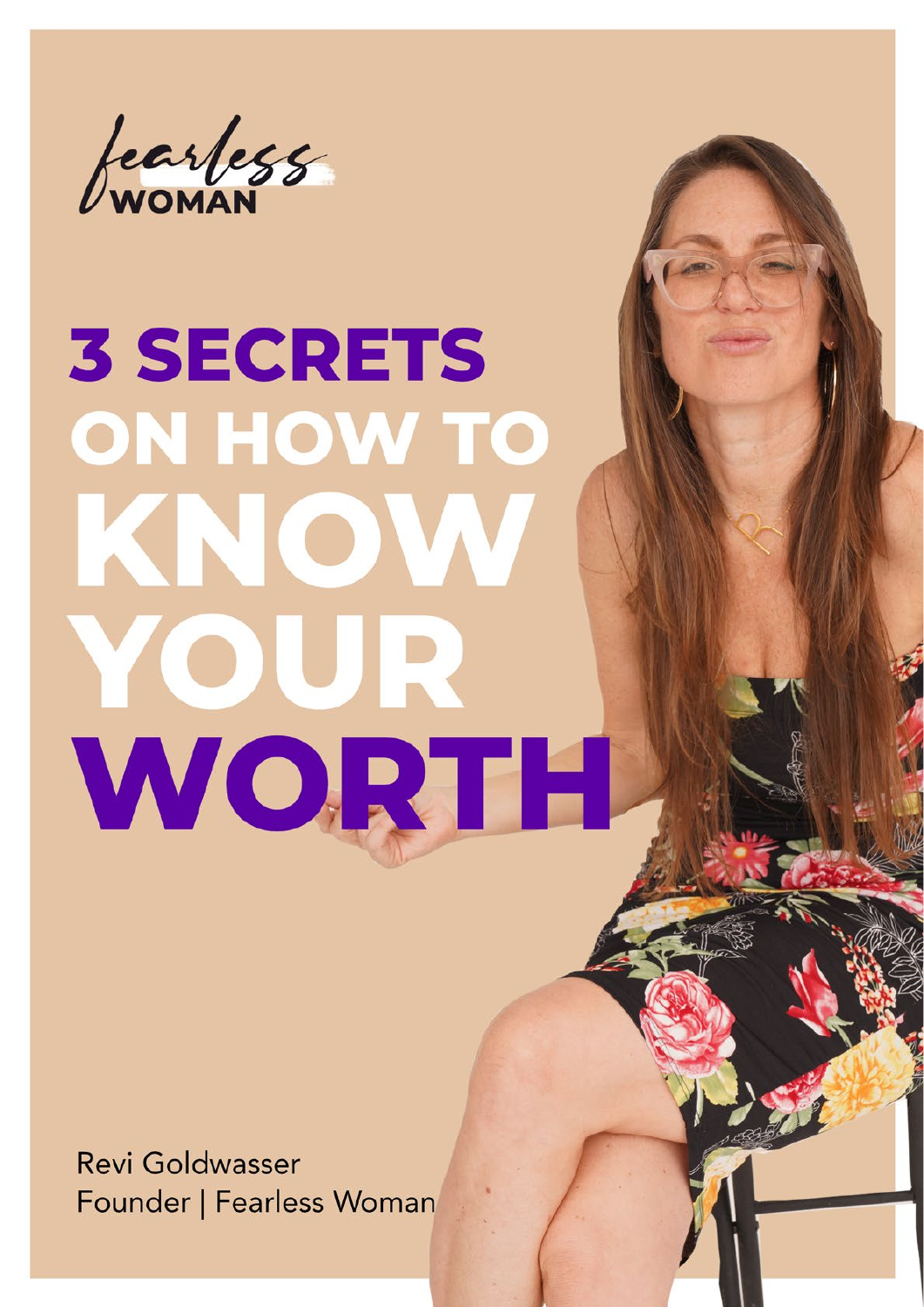fearless

# **3 SECRETS** ON HOW TO OIVA KNI YOUP WORTH.

**Revi Goldwasser** Founder | Fearless Woman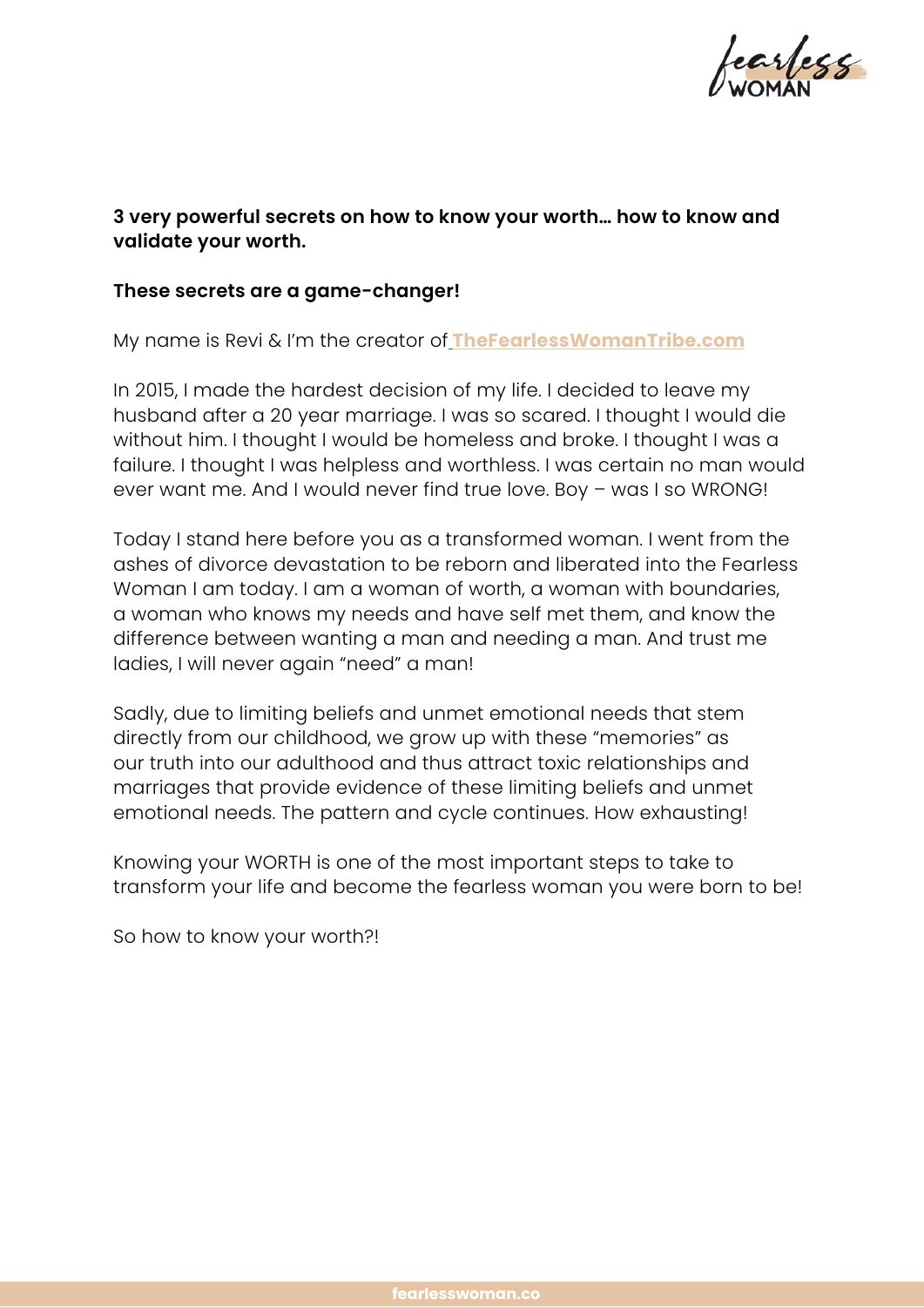

#### **3 very powerful secrets on how to know your worth… how to know and validate your worth.**

#### **These secrets are a game-changer!**

My name is Revi & I'm the creator of **[TheFearlessWomanTribe.com](https://thefearlesswomantribe.com)**

In 2015, I made the hardest decision of my life. I decided to leave my husband after a 20 year marriage. I was so scared. I thought I would die without him. I thought I would be homeless and broke. I thought I was a failure. I thought I was helpless and worthless. I was certain no man would ever want me. And I would never find true love. Boy – was I so WRONG!

Today I stand here before you as a transformed woman. I went from the ashes of divorce devastation to be reborn and liberated into the Fearless Woman I am today. I am a woman of worth, a woman with boundaries, a woman who knows my needs and have self met them, and know the difference between wanting a man and needing a man. And trust me ladies, I will never again "need" a man!

Sadly, due to limiting beliefs and unmet emotional needs that stem directly from our childhood, we grow up with these "memories" as our truth into our adulthood and thus attract toxic relationships and marriages that provide evidence of these limiting beliefs and unmet emotional needs. The pattern and cycle continues. How exhausting!

Knowing your WORTH is one of the most important steps to take to transform your life and become the fearless woman you were born to be!

So how to know your worth?!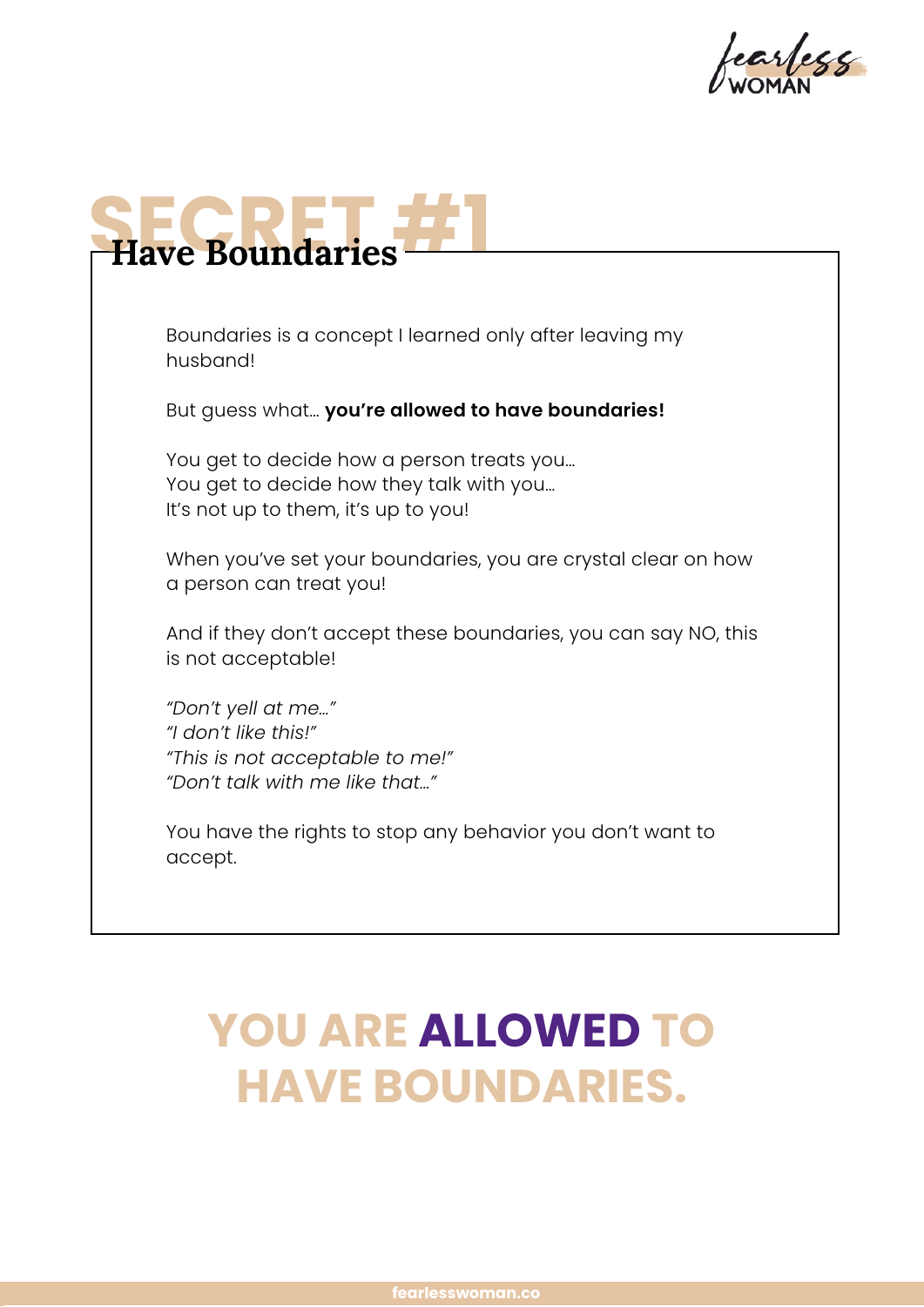



Boundaries is a concept I learned only after leaving my husband!

But guess what… **you're allowed to have boundaries!** 

You get to decide how a person treats you… You get to decide how they talk with you… It's not up to them, it's up to you!

When you've set your boundaries, you are crystal clear on how a person can treat you!

And if they don't accept these boundaries, you can say NO, this is not acceptable!

*"Don't yell at me…" "I don't like this!" "This is not acceptable to me!" "Don't talk with me like that…"*

You have the rights to stop any behavior you don't want to accept.

### **YOU ARE ALLOWED TO HAVE BOUNDARIES.**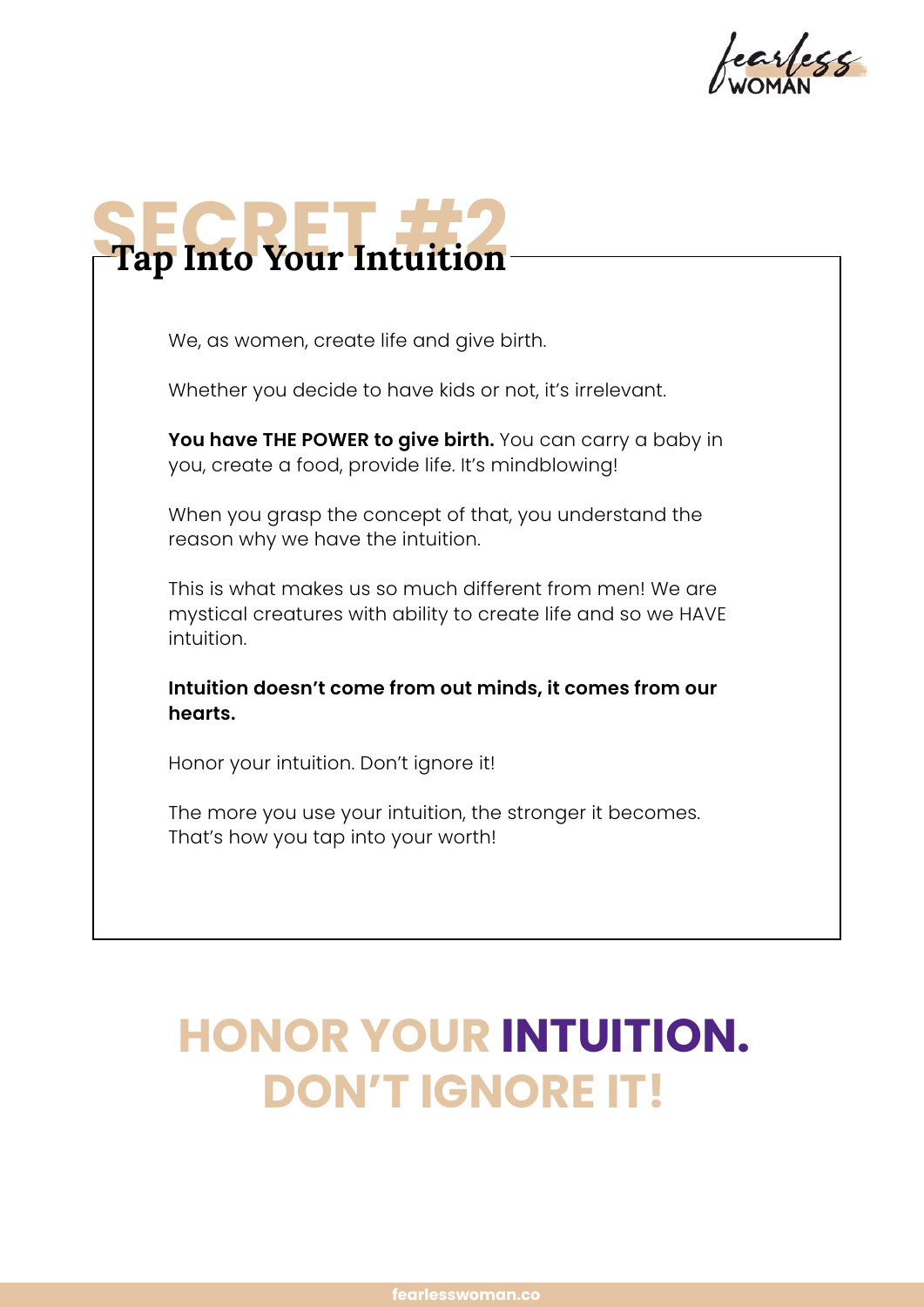

# **SECRET #2 Tap Into Your Intuition**

We, as women, create life and give birth.

Whether you decide to have kids or not, it's irrelevant.

You have THE POWER to give birth. You can carry a baby in you, create a food, provide life. It's mindblowing!

When you grasp the concept of that, you understand the reason why we have the intuition.

This is what makes us so much different from men! We are mystical creatures with ability to create life and so we HAVE intuition.

**Intuition doesn't come from out minds, it comes from our hearts.**

Honor your intuition. Don't ignore it!

The more you use your intuition, the stronger it becomes. That's how you tap into your worth!

### **HONOR YOUR INTUITION. DON'T IGNORE IT!**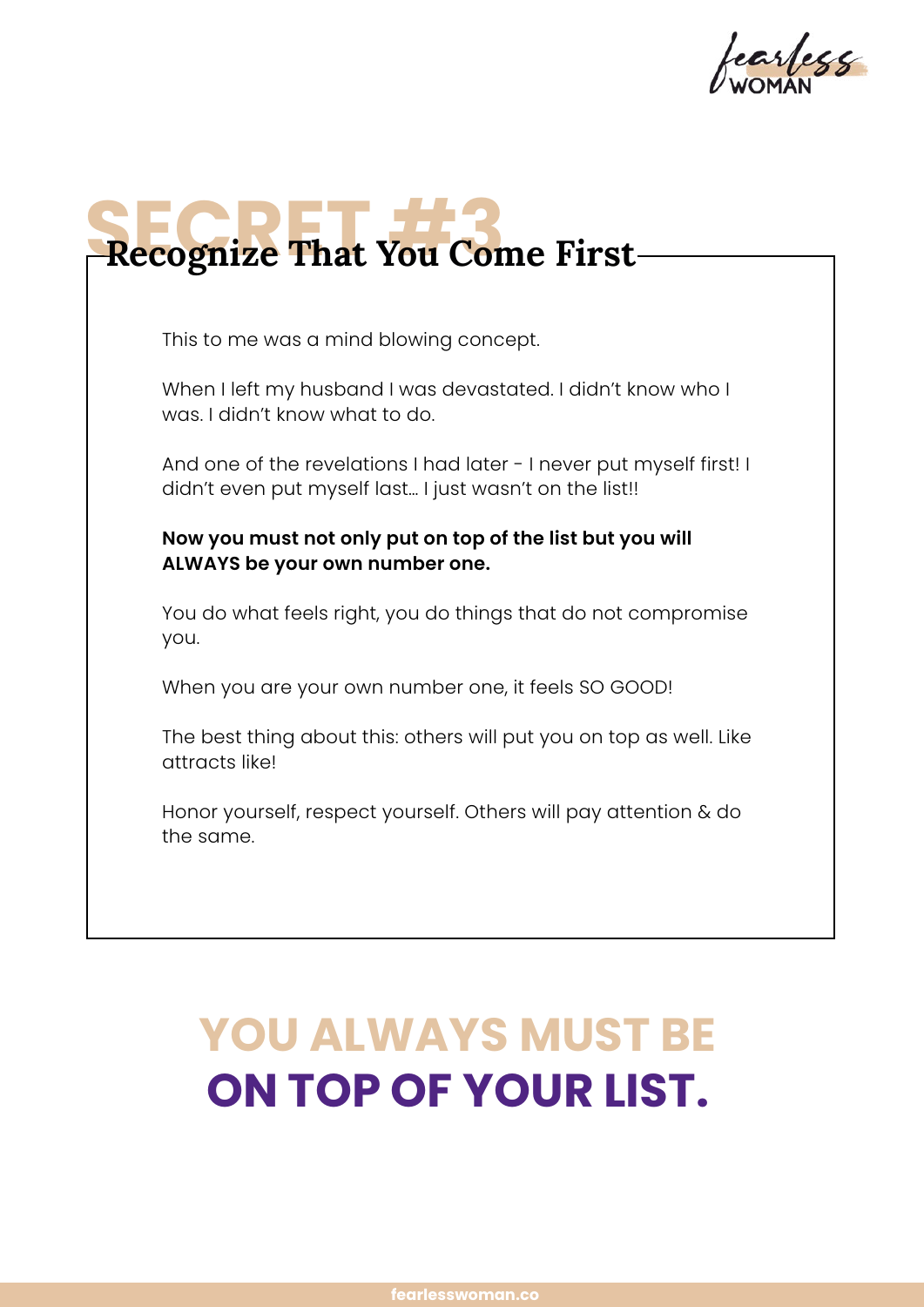

## Recognize That You Come First

This to me was a mind blowing concept.

When I left my husband I was devastated. I didn't know who I was. I didn't know what to do.

And one of the revelations I had later - I never put myself first! I didn't even put myself last... I just wasn't on the list!!

**Now you must not only put on top of the list but you will ALWAYS be your own number one.**

You do what feels right, you do things that do not compromise you.

When you are your own number one, it feels SO GOOD!

The best thing about this: others will put you on top as well. Like attracts like!

Honor yourself, respect yourself. Others will pay attention & do the same.

### **YOU ALWAYS MUST BE ON TOP OF YOUR LIST.**